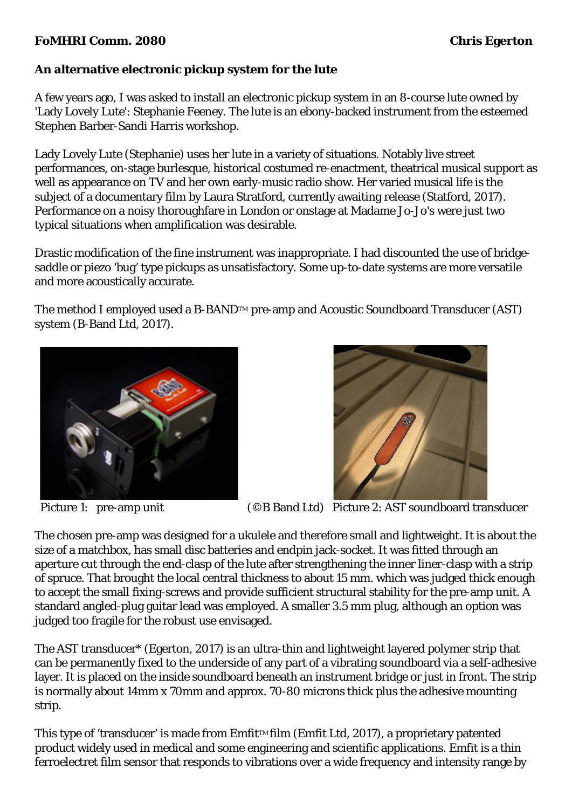## **FoMHRI Comm. 2080 Chris Egerton**

## **An alternative electronic pickup system for the lute**

A few years ago, I was asked to install an electronic pickup system in an 8-course lute owned by 'Lady Lovely Lute': Stephanie Feeney. The lute is an ebony-backed instrument from the esteemed Stephen Barber-Sandi Harris workshop.

Lady Lovely Lute (Stephanie) uses her lute in a variety of situations. Notably live street performances, on-stage burlesque, historical costumed re-enactment, theatrical musical support as well as appearance on TV and her own early-music radio show. Her varied musical life is the subject of a documentary film by Laura Stratford, currently awaiting release (Statford, 2017). Performance on a noisy thoroughfare in London or onstage at Madame Jo-Jo's were just two typical situations when amplification was desirable.

Drastic modification of the fine instrument was inappropriate. I had discounted the use of bridgesaddle or piezo 'bug' type pickups as unsatisfactory. Some up-to-date systems are more versatile and more acoustically accurate.

The method I employed used a B-BAND™ pre-amp and Acoustic Soundboard Transducer (AST) system (B-Band Ltd, 2017).





Picture 1: pre-amp unit (©B Band Ltd) Picture 2: AST soundboard transducer

The chosen pre-amp was designed for a ukulele and therefore small and lightweight. It is about the size of a matchbox, has small disc batteries and endpin jack-socket. It was fitted through an aperture cut through the end-clasp of the lute after strengthening the inner liner-clasp with a strip of spruce. That brought the local central thickness to about 15 mm. which was judged thick enough to accept the small fixing-screws and provide sufficient structural stability for the pre-amp unit. A standard angled-plug guitar lead was employed. A smaller 3.5 mm plug, although an option was judged too fragile for the robust use envisaged.

The AST transducer\* (Egerton, 2017) is an ultra-thin and lightweight layered polymer strip that can be permanently fixed to the underside of any part of a vibrating soundboard via a self-adhesive layer. It is placed on the inside soundboard beneath an instrument bridge or just in front. The strip is normally about 14mm x 70mm and approx. 70-80 microns thick plus the adhesive mounting strip.

This type of 'transducer' is made from  $Emfit^{TM}$  film (Emfit Ltd, 2017), a proprietary patented product widely used in medical and some engineering and scientific applications. Emfit is a thin ferroelectret film sensor that responds to vibrations over a wide frequency and intensity range by